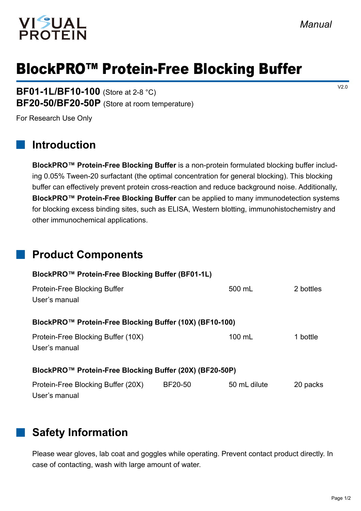

# BlockPRO™ Protein-Free Blocking Buffer

**BF01-1L/BF10-100** (Store at 2-8 °C) **BF20-50/BF20-50P** (Store at room temperature)

For Research Use Only

### **Introduction**

**BlockPRO™ Protein-Free Blocking Buffer** is a non-protein formulated blocking buffer including 0.05% Tween-20 surfactant (the optimal concentration for general blocking). This blocking buffer can effectively prevent protein cross-reaction and reduce background noise. Additionally, **BlockPRO™ Protein-Free Blocking Buffer** can be applied to many immunodetection systems for blocking excess binding sites, such as ELISA, Western blotting, immunohistochemistry and other immunochemical applications.

#### **Product Components**

| BlockPRO™ Protein-Free Blocking Buffer (BF01-1L)        |                  |           |  |  |  |
|---------------------------------------------------------|------------------|-----------|--|--|--|
|                                                         | 500 mL           | 2 bottles |  |  |  |
| BlockPRO™ Protein-Free Blocking Buffer (10X) (BF10-100) |                  |           |  |  |  |
|                                                         | $100 \text{ mL}$ | 1 bottle  |  |  |  |
| BlockPRO™ Protein-Free Blocking Buffer (20X) (BF20-50P) |                  |           |  |  |  |
| BF20-50                                                 | 50 mL dilute     | 20 packs  |  |  |  |
|                                                         |                  |           |  |  |  |

## **Safety Information**

Please wear gloves, lab coat and goggles while operating. Prevent contact product directly. In case of contacting, wash with large amount of water.

V2.0